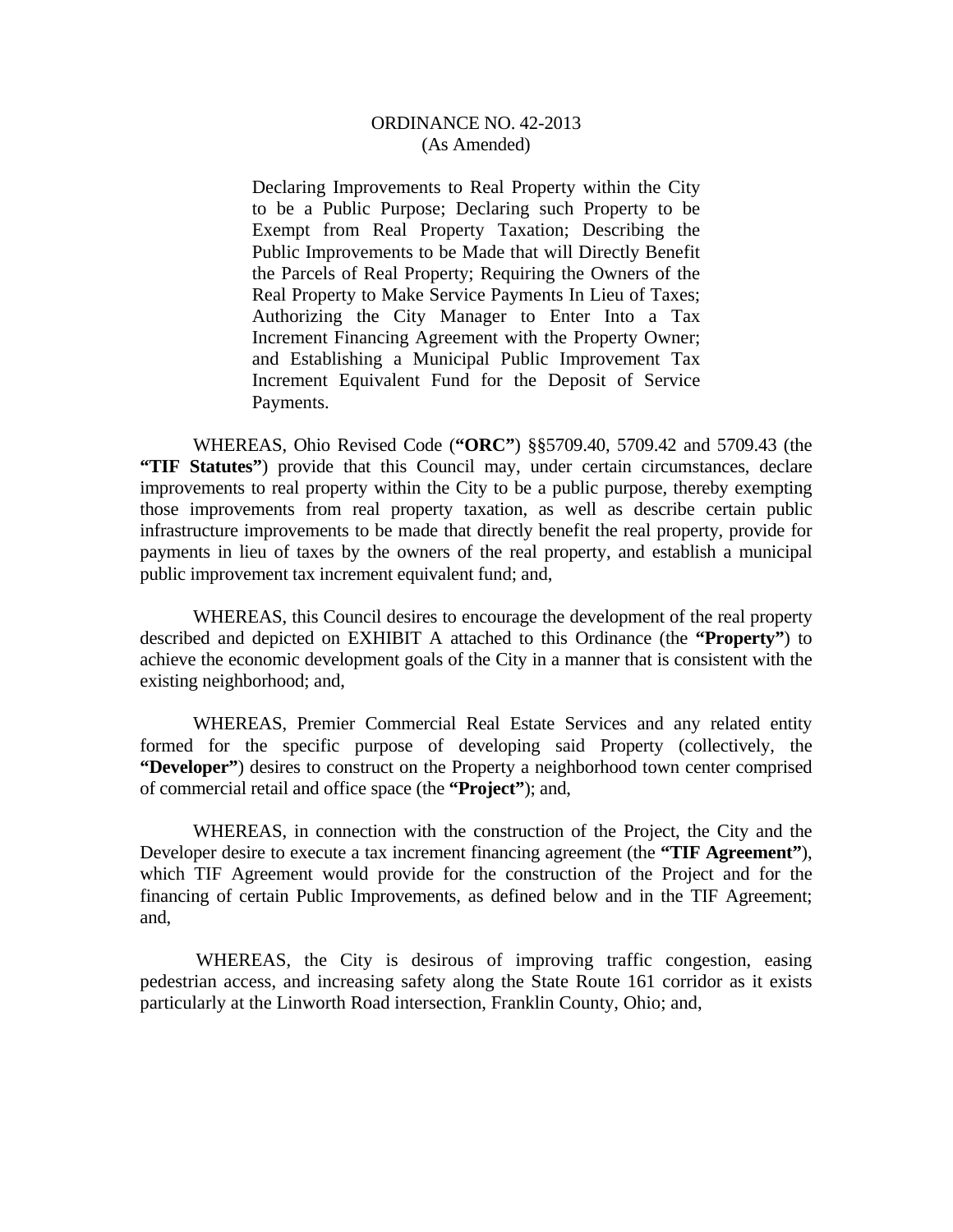Declaring Improvements to Real Property within the City to be a Public Purpose; Declaring such Property to be Exempt from Real Property Taxation; Describing the Public Improvements to be Made that will Directly Benefit the Parcels of Real Property; Requiring the Owners of the Real Property to Make Service Payments In Lieu of Taxes; Authorizing the City Manager to Enter Into a Tax Increment Financing Agreement with the Property Owner; and Establishing a Municipal Public Improvement Tax Increment Equivalent Fund for the Deposit of Service Payments.

 WHEREAS, Ohio Revised Code (**"ORC"**) §§5709.40, 5709.42 and 5709.43 (the **"TIF Statutes"**) provide that this Council may, under certain circumstances, declare improvements to real property within the City to be a public purpose, thereby exempting those improvements from real property taxation, as well as describe certain public infrastructure improvements to be made that directly benefit the real property, provide for payments in lieu of taxes by the owners of the real property, and establish a municipal public improvement tax increment equivalent fund; and,

 WHEREAS, this Council desires to encourage the development of the real property described and depicted on EXHIBIT A attached to this Ordinance (the **"Property"**) to achieve the economic development goals of the City in a manner that is consistent with the existing neighborhood; and,

 WHEREAS, Premier Commercial Real Estate Services and any related entity formed for the specific purpose of developing said Property (collectively, the **"Developer"**) desires to construct on the Property a neighborhood town center comprised of commercial retail and office space (the **"Project"**); and,

 WHEREAS, in connection with the construction of the Project, the City and the Developer desire to execute a tax increment financing agreement (the **"TIF Agreement"**), which TIF Agreement would provide for the construction of the Project and for the financing of certain Public Improvements, as defined below and in the TIF Agreement; and,

 WHEREAS, the City is desirous of improving traffic congestion, easing pedestrian access, and increasing safety along the State Route 161 corridor as it exists particularly at the Linworth Road intersection, Franklin County, Ohio; and,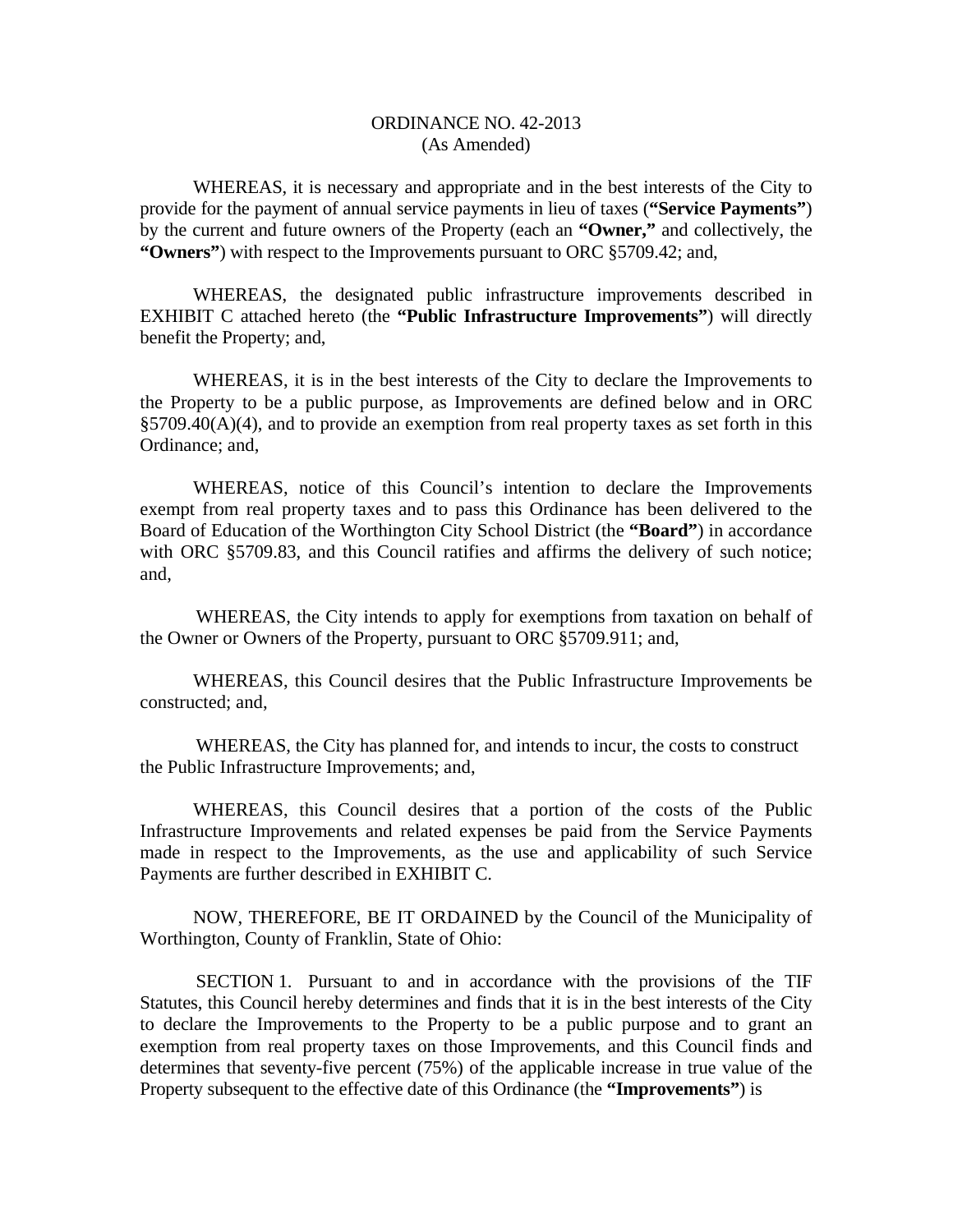WHEREAS, it is necessary and appropriate and in the best interests of the City to provide for the payment of annual service payments in lieu of taxes (**"Service Payments"**) by the current and future owners of the Property (each an **"Owner,"** and collectively, the **"Owners"**) with respect to the Improvements pursuant to ORC §5709.42; and,

 WHEREAS, the designated public infrastructure improvements described in EXHIBIT C attached hereto (the **"Public Infrastructure Improvements"**) will directly benefit the Property; and,

 WHEREAS, it is in the best interests of the City to declare the Improvements to the Property to be a public purpose, as Improvements are defined below and in ORC §5709.40(A)(4), and to provide an exemption from real property taxes as set forth in this Ordinance; and,

 WHEREAS, notice of this Council's intention to declare the Improvements exempt from real property taxes and to pass this Ordinance has been delivered to the Board of Education of the Worthington City School District (the **"Board"**) in accordance with ORC §5709.83, and this Council ratifies and affirms the delivery of such notice; and,

 WHEREAS, the City intends to apply for exemptions from taxation on behalf of the Owner or Owners of the Property, pursuant to ORC §5709.911; and,

 WHEREAS, this Council desires that the Public Infrastructure Improvements be constructed; and,

 WHEREAS, the City has planned for, and intends to incur, the costs to construct the Public Infrastructure Improvements; and,

 WHEREAS, this Council desires that a portion of the costs of the Public Infrastructure Improvements and related expenses be paid from the Service Payments made in respect to the Improvements, as the use and applicability of such Service Payments are further described in EXHIBIT C.

 NOW, THEREFORE, BE IT ORDAINED by the Council of the Municipality of Worthington, County of Franklin, State of Ohio:

 SECTION 1. Pursuant to and in accordance with the provisions of the TIF Statutes, this Council hereby determines and finds that it is in the best interests of the City to declare the Improvements to the Property to be a public purpose and to grant an exemption from real property taxes on those Improvements, and this Council finds and determines that seventy-five percent (75%) of the applicable increase in true value of the Property subsequent to the effective date of this Ordinance (the **"Improvements"**) is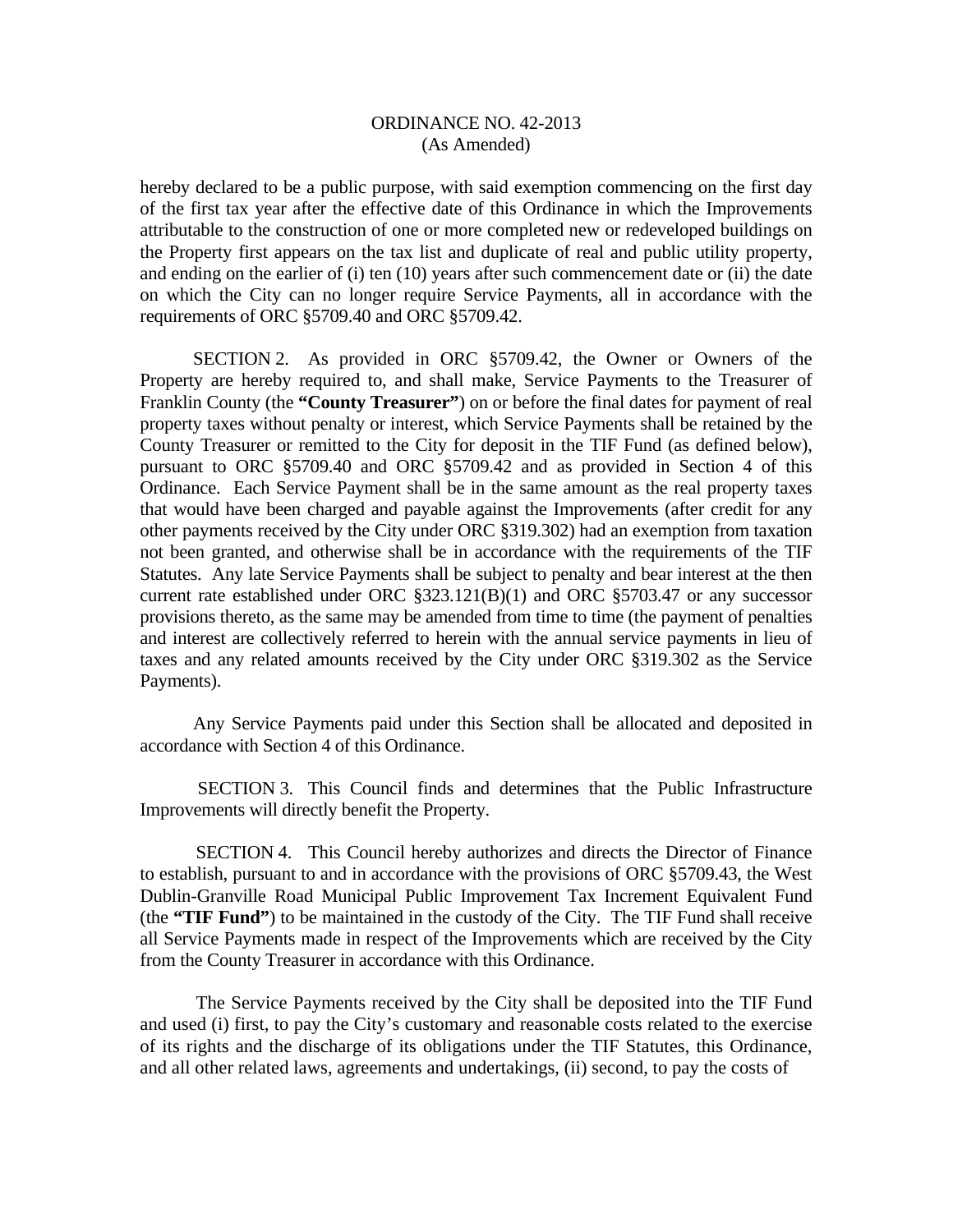hereby declared to be a public purpose, with said exemption commencing on the first day of the first tax year after the effective date of this Ordinance in which the Improvements attributable to the construction of one or more completed new or redeveloped buildings on the Property first appears on the tax list and duplicate of real and public utility property, and ending on the earlier of (i) ten (10) years after such commencement date or (ii) the date on which the City can no longer require Service Payments, all in accordance with the requirements of ORC §5709.40 and ORC §5709.42.

 SECTION 2. As provided in ORC §5709.42, the Owner or Owners of the Property are hereby required to, and shall make, Service Payments to the Treasurer of Franklin County (the **"County Treasurer"**) on or before the final dates for payment of real property taxes without penalty or interest, which Service Payments shall be retained by the County Treasurer or remitted to the City for deposit in the TIF Fund (as defined below), pursuant to ORC §5709.40 and ORC §5709.42 and as provided in Section 4 of this Ordinance. Each Service Payment shall be in the same amount as the real property taxes that would have been charged and payable against the Improvements (after credit for any other payments received by the City under ORC §319.302) had an exemption from taxation not been granted, and otherwise shall be in accordance with the requirements of the TIF Statutes. Any late Service Payments shall be subject to penalty and bear interest at the then current rate established under ORC §323.121(B)(1) and ORC §5703.47 or any successor provisions thereto, as the same may be amended from time to time (the payment of penalties and interest are collectively referred to herein with the annual service payments in lieu of taxes and any related amounts received by the City under ORC §319.302 as the Service Payments).

 Any Service Payments paid under this Section shall be allocated and deposited in accordance with Section 4 of this Ordinance.

 SECTION 3. This Council finds and determines that the Public Infrastructure Improvements will directly benefit the Property.

 SECTION 4. This Council hereby authorizes and directs the Director of Finance to establish, pursuant to and in accordance with the provisions of ORC §5709.43, the West Dublin-Granville Road Municipal Public Improvement Tax Increment Equivalent Fund (the **"TIF Fund"**) to be maintained in the custody of the City. The TIF Fund shall receive all Service Payments made in respect of the Improvements which are received by the City from the County Treasurer in accordance with this Ordinance.

 The Service Payments received by the City shall be deposited into the TIF Fund and used (i) first, to pay the City's customary and reasonable costs related to the exercise of its rights and the discharge of its obligations under the TIF Statutes, this Ordinance, and all other related laws, agreements and undertakings, (ii) second, to pay the costs of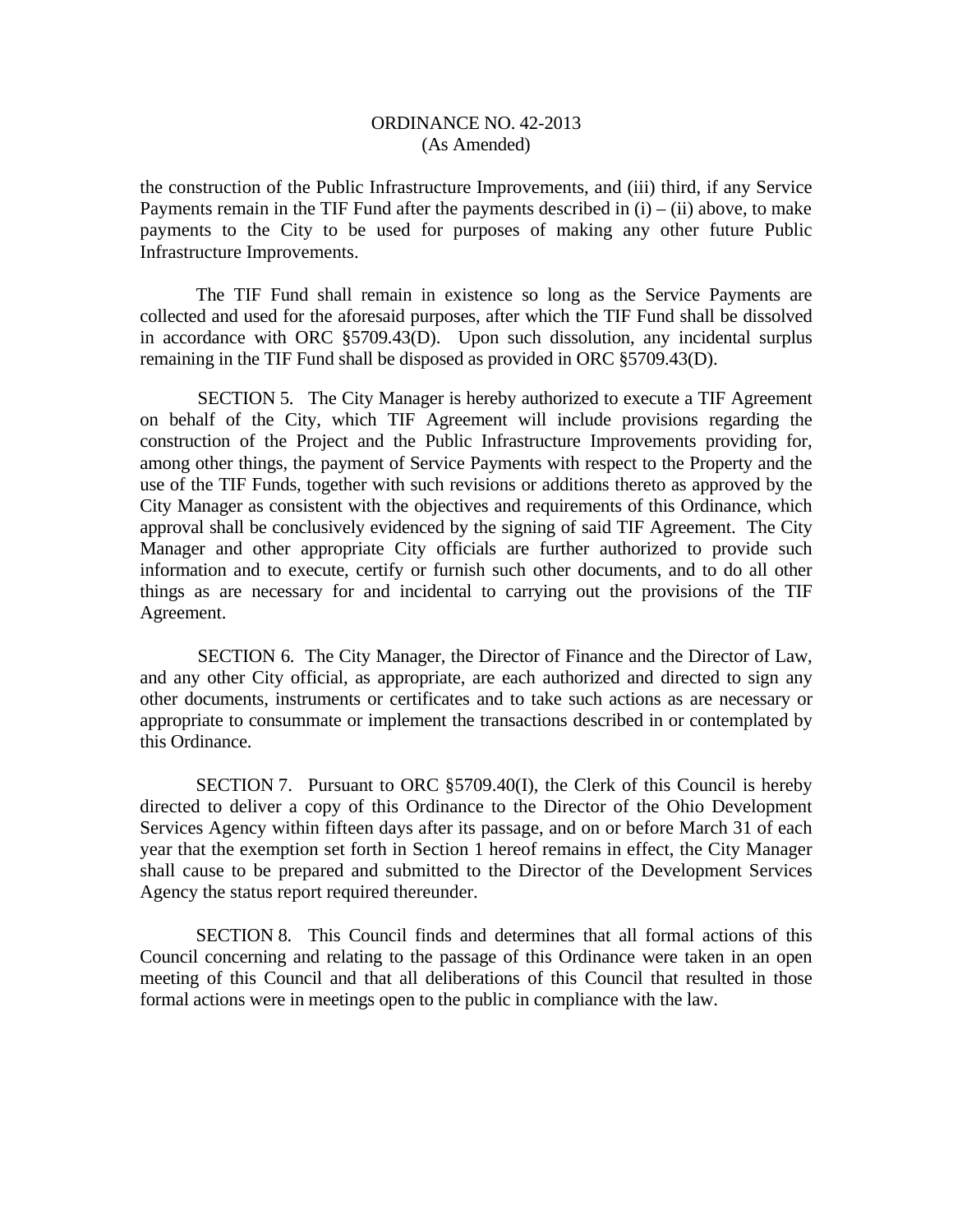the construction of the Public Infrastructure Improvements, and (iii) third, if any Service Payments remain in the TIF Fund after the payments described in  $(i) - (ii)$  above, to make payments to the City to be used for purposes of making any other future Public Infrastructure Improvements.

 The TIF Fund shall remain in existence so long as the Service Payments are collected and used for the aforesaid purposes, after which the TIF Fund shall be dissolved in accordance with ORC §5709.43(D). Upon such dissolution, any incidental surplus remaining in the TIF Fund shall be disposed as provided in ORC §5709.43(D).

 SECTION 5. The City Manager is hereby authorized to execute a TIF Agreement on behalf of the City, which TIF Agreement will include provisions regarding the construction of the Project and the Public Infrastructure Improvements providing for, among other things, the payment of Service Payments with respect to the Property and the use of the TIF Funds, together with such revisions or additions thereto as approved by the City Manager as consistent with the objectives and requirements of this Ordinance, which approval shall be conclusively evidenced by the signing of said TIF Agreement. The City Manager and other appropriate City officials are further authorized to provide such information and to execute, certify or furnish such other documents, and to do all other things as are necessary for and incidental to carrying out the provisions of the TIF Agreement.

 SECTION 6. The City Manager, the Director of Finance and the Director of Law, and any other City official, as appropriate, are each authorized and directed to sign any other documents, instruments or certificates and to take such actions as are necessary or appropriate to consummate or implement the transactions described in or contemplated by this Ordinance.

SECTION 7. Pursuant to ORC §5709.40(I), the Clerk of this Council is hereby directed to deliver a copy of this Ordinance to the Director of the Ohio Development Services Agency within fifteen days after its passage, and on or before March 31 of each year that the exemption set forth in Section 1 hereof remains in effect, the City Manager shall cause to be prepared and submitted to the Director of the Development Services Agency the status report required thereunder.

 SECTION 8. This Council finds and determines that all formal actions of this Council concerning and relating to the passage of this Ordinance were taken in an open meeting of this Council and that all deliberations of this Council that resulted in those formal actions were in meetings open to the public in compliance with the law.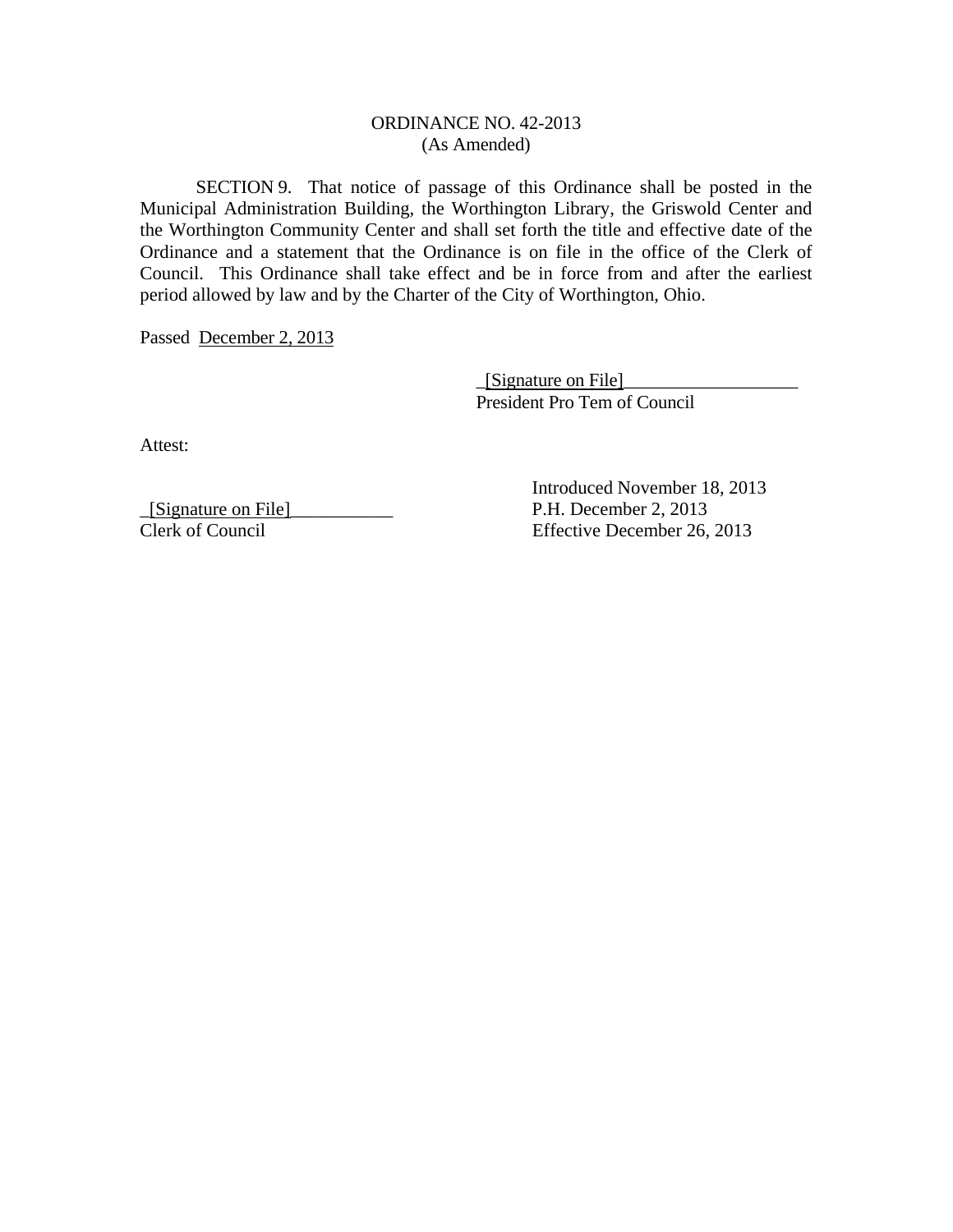SECTION 9. That notice of passage of this Ordinance shall be posted in the Municipal Administration Building, the Worthington Library, the Griswold Center and the Worthington Community Center and shall set forth the title and effective date of the Ordinance and a statement that the Ordinance is on file in the office of the Clerk of Council. This Ordinance shall take effect and be in force from and after the earliest period allowed by law and by the Charter of the City of Worthington, Ohio.

Passed December 2, 2013

 \_[Signature on File]\_\_\_\_\_\_\_\_\_\_\_\_\_\_\_\_\_\_\_ President Pro Tem of Council

Attest:

\_[Signature on File]\_\_\_\_\_\_\_\_\_\_\_ P.H. December 2, 2013

 Introduced November 18, 2013 Effective December 26, 2013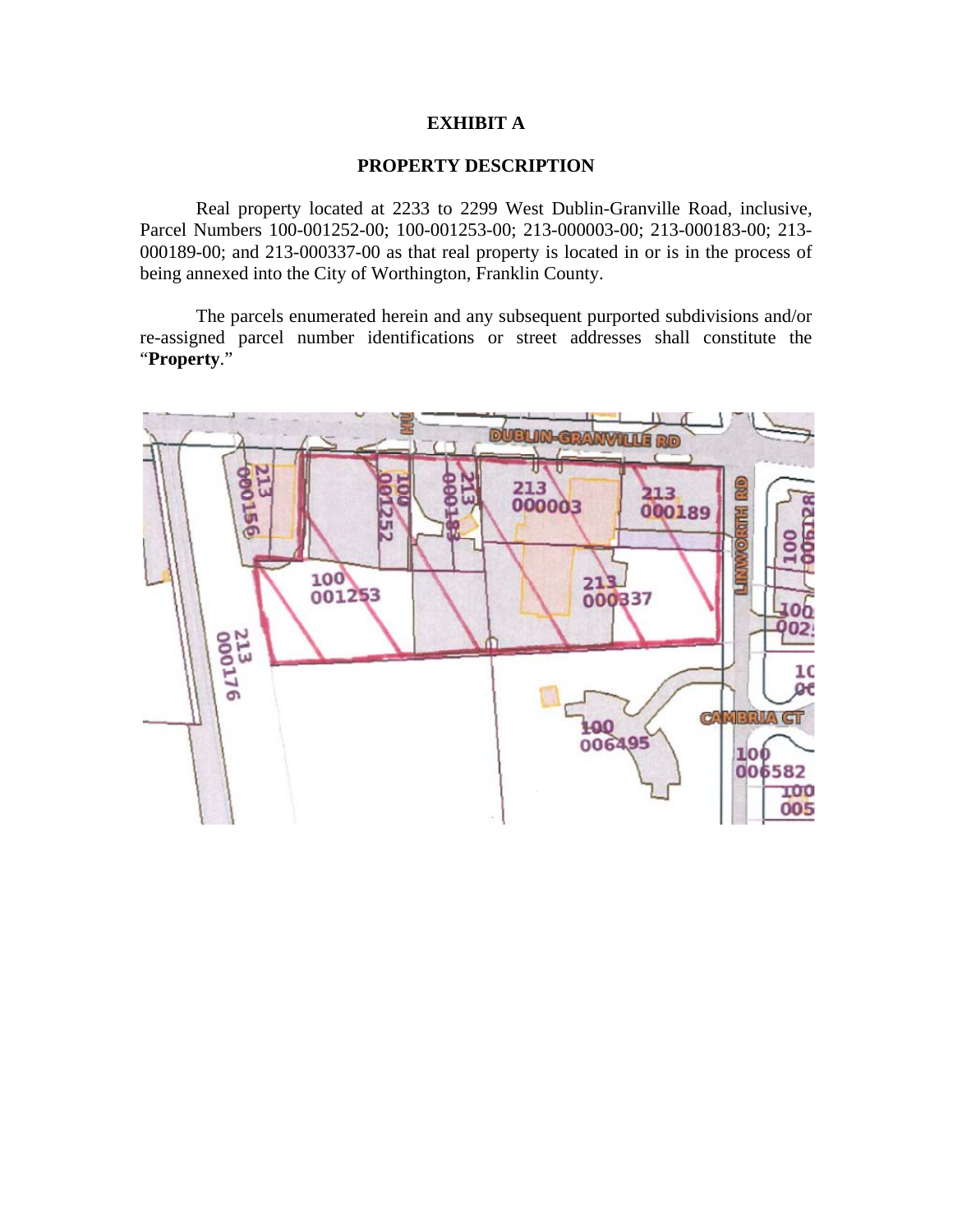## **EXHIBIT A**

#### **PROPERTY DESCRIPTION**

 Real property located at 2233 to 2299 West Dublin-Granville Road, inclusive, Parcel Numbers 100-001252-00; 100-001253-00; 213-000003-00; 213-000183-00; 213- 000189-00; and 213-000337-00 as that real property is located in or is in the process of being annexed into the City of Worthington, Franklin County.

 The parcels enumerated herein and any subsequent purported subdivisions and/or re-assigned parcel number identifications or street addresses shall constitute the "**Property**."

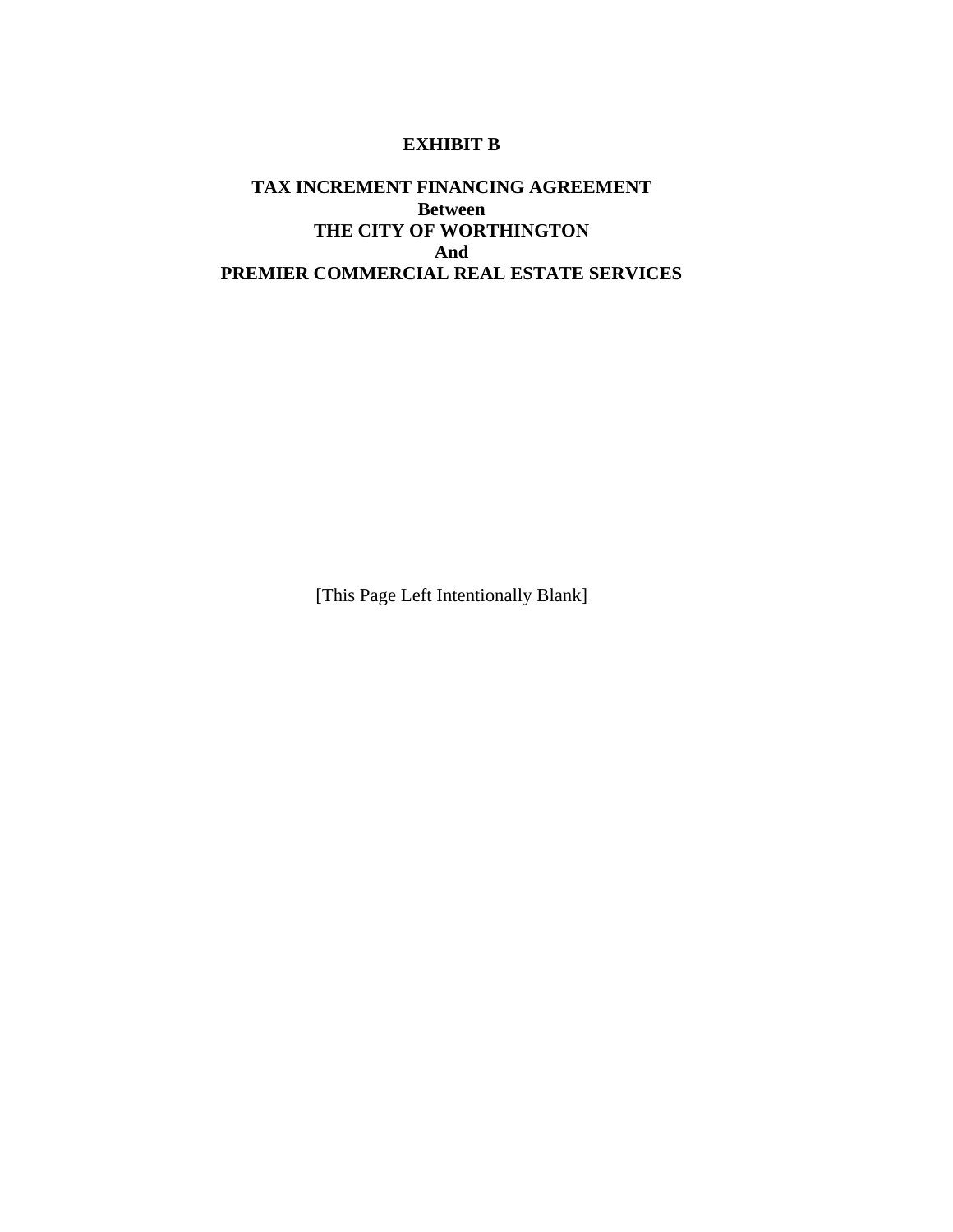### **EXHIBIT B**

# **TAX INCREMENT FINANCING AGREEMENT Between THE CITY OF WORTHINGTON And PREMIER COMMERCIAL REAL ESTATE SERVICES**

[This Page Left Intentionally Blank]